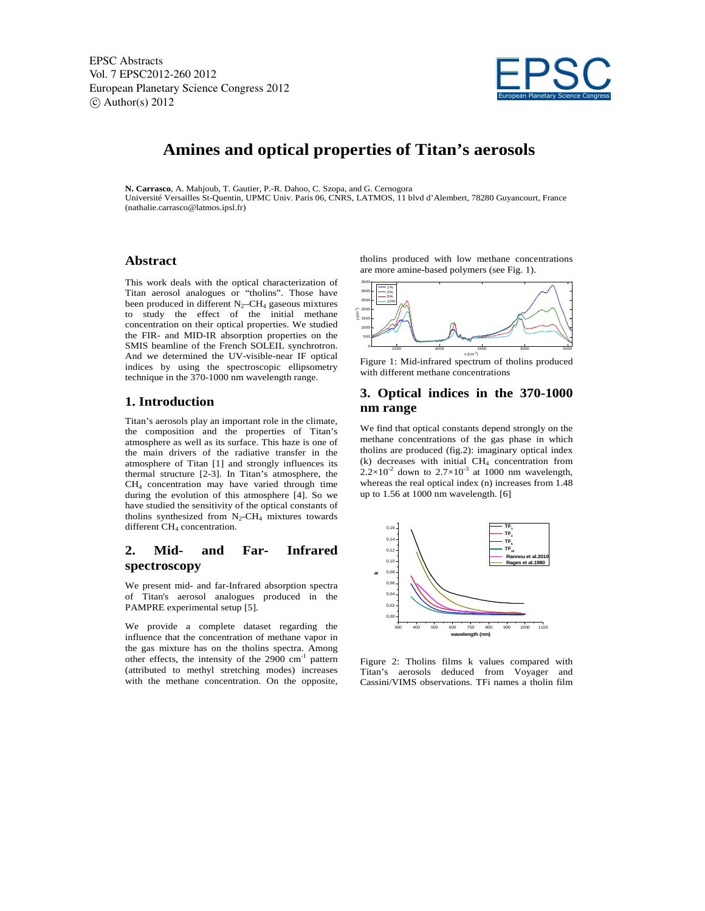EPSC Abstracts Vol. 7 EPSC2012-260 2012 European Planetary Science Congress 2012  $\circ$  Author(s) 2012



# **Amines and optical properties of Titan's aerosols**

**N. Carrasco**, A. Mahjoub, T. Gautier, P.-R. Dahoo, C. Szopa, and G. Cernogora Université Versailles St-Quentin, UPMC Univ. Paris 06, CNRS, LATMOS, 11 blvd d'Alembert, 78280 Guyancourt, France (nathalie.carrasco@latmos.ipsl.fr)

### **Abstract**

This work deals with the optical characterization of Titan aerosol analogues or "tholins". Those have been produced in different  $N_2$ –CH<sub>4</sub> gaseous mixtures to study the effect of the initial methane concentration on their optical properties. We studied the FIR- and MID-IR absorption properties on the SMIS beamline of the French SOLEIL synchrotron. And we determined the UV-visible-near IF optical indices by using the spectroscopic ellipsometry technique in the 370-1000 nm wavelength range.

### **1. Introduction**

Titan's aerosols play an important role in the climate, the composition and the properties of Titan's atmosphere as well as its surface. This haze is one of the main drivers of the radiative transfer in the atmosphere of Titan [1] and strongly influences its thermal structure [2-3]. In Titan's atmosphere, the CH4 concentration may have varied through time during the evolution of this atmosphere [4]. So we have studied the sensitivity of the optical constants of tholins synthesized from  $N_2$ -CH<sub>4</sub> mixtures towards different CH<sub>4</sub> concentration.

## **2. Mid- and Far- Infrared spectroscopy**

We present mid- and far-Infrared absorption spectra of Titan's aerosol analogues produced in the PAMPRE experimental setup [5].

We provide a complete dataset regarding the influence that the concentration of methane vapor in the gas mixture has on the tholins spectra. Among other effects, the intensity of the  $2900 \text{ cm}^{-1}$  pattern (attributed to methyl stretching modes) increases with the methane concentration. On the opposite,

tholins produced with low methane concentrations are more amine-based polymers (see Fig. 1).



Figure 1: Mid-infrared spectrum of tholins produced with different methane concentrations

#### **3. Optical indices in the 370-1000 nm range**

We find that optical constants depend strongly on the methane concentrations of the gas phase in which tholins are produced (fig.2): imaginary optical index  $(k)$  decreases with initial  $CH<sub>4</sub>$  concentration from  $2.2\times10^{-2}$  down to  $2.7\times10^{-3}$  at 1000 nm wavelength, whereas the real optical index (n) increases from 1.48 up to 1.56 at 1000 nm wavelength. [6]



Figure 2: Tholins films k values compared with Titan's aerosols deduced from Voyager and Cassini/VIMS observations. TFi names a tholin film